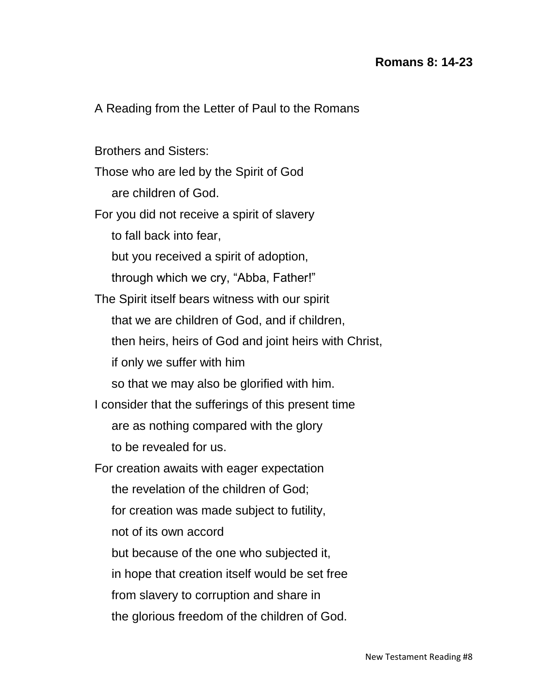## **Romans 8: 14-23**

A Reading from the Letter of Paul to the Romans

Brothers and Sisters:

Those who are led by the Spirit of God

are children of God.

For you did not receive a spirit of slavery

to fall back into fear,

but you received a spirit of adoption,

through which we cry, "Abba, Father!"

The Spirit itself bears witness with our spirit

that we are children of God, and if children,

then heirs, heirs of God and joint heirs with Christ,

if only we suffer with him

so that we may also be glorified with him.

I consider that the sufferings of this present time

are as nothing compared with the glory

to be revealed for us.

For creation awaits with eager expectation

the revelation of the children of God;

for creation was made subject to futility,

not of its own accord

but because of the one who subjected it,

in hope that creation itself would be set free

from slavery to corruption and share in

the glorious freedom of the children of God.